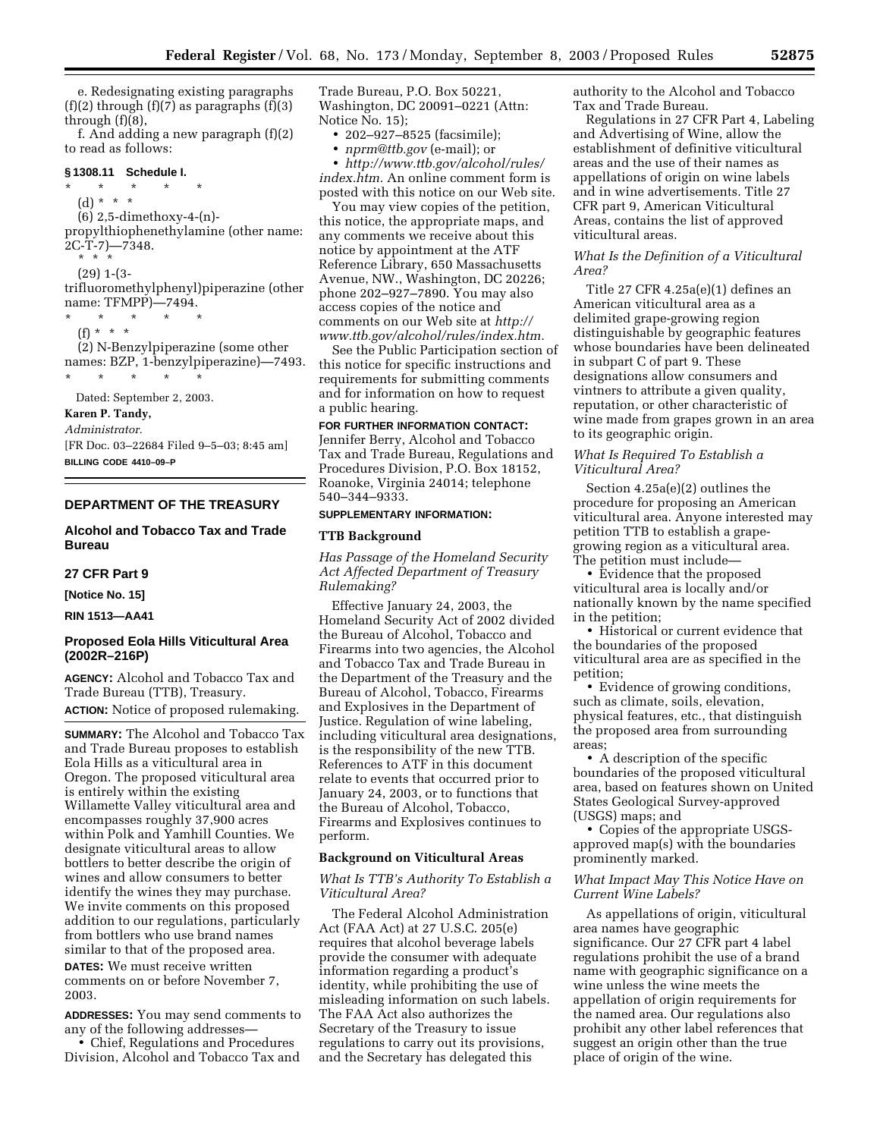e. Redesignating existing paragraphs  $(f)(2)$  through  $(f)(7)$  as paragraphs  $(f)(3)$ through (f)(8),

f. And adding a new paragraph (f)(2) to read as follows:

# **§ 1308.11 Schedule I.** \* \* \* \* \*

(d) \* \* \* (6) 2,5-dimethoxy-4-(n) propylthiophenethylamine (other name: 2C-T-7)—7348.

\* \* \*

(29) 1-(3 trifluoromethylphenyl)piperazine (other name: TFMPP)—7494.

 $*$  \*

 $(f) * * * *$ 

(2) N-Benzylpiperazine (some other names: BZP, 1-benzylpiperazine)—7493. \* \* \* \* \*

Dated: September 2, 2003.

### **Karen P. Tandy,**

*Administrator.*

[FR Doc. 03–22684 Filed 9–5–03; 8:45 am] **BILLING CODE 4410–09–P**

## **DEPARTMENT OF THE TREASURY**

# **Alcohol and Tobacco Tax and Trade Bureau**

## **27 CFR Part 9**

**[Notice No. 15]** 

**RIN 1513—AA41** 

## **Proposed Eola Hills Viticultural Area (2002R–216P)**

**AGENCY:** Alcohol and Tobacco Tax and Trade Bureau (TTB), Treasury. **ACTION:** Notice of proposed rulemaking.

**SUMMARY:** The Alcohol and Tobacco Tax and Trade Bureau proposes to establish Eola Hills as a viticultural area in Oregon. The proposed viticultural area is entirely within the existing Willamette Valley viticultural area and encompasses roughly 37,900 acres within Polk and Yamhill Counties. We designate viticultural areas to allow bottlers to better describe the origin of wines and allow consumers to better identify the wines they may purchase. We invite comments on this proposed addition to our regulations, particularly from bottlers who use brand names similar to that of the proposed area. **DATES:** We must receive written

comments on or before November 7, 2003.

**ADDRESSES:** You may send comments to any of the following addresses— • Chief, Regulations and Procedures Division, Alcohol and Tobacco Tax and

Trade Bureau, P.O. Box 50221, Washington, DC 20091–0221 (Attn: Notice No. 15);

• 202–927–8525 (facsimile);

• *[nprm@ttb.gov](mailto:nprm@ttb.gov)* (e-mail); or

• *[http://www.ttb.gov/alcohol/rules/](http://www.ttb.gov/alcohol/rules/index.htm) index.htm.* An online comment form is posted with this notice on our Web site.

You may view copies of the petition, this notice, the appropriate maps, and any comments we receive about this notice by appointment at the ATF Reference Library, 650 Massachusetts Avenue, NW., Washington, DC 20226; phone 202–927–7890. You may also access copies of the notice and comments on our Web site at *http:// [www.ttb.gov/alcohol/rules/index.htm.](http://www.ttb.gov/alcohol/rules/index.htm)*

See the Public Participation section of this notice for specific instructions and requirements for submitting comments and for information on how to request a public hearing.

## **FOR FURTHER INFORMATION CONTACT:**

Jennifer Berry, Alcohol and Tobacco Tax and Trade Bureau, Regulations and Procedures Division, P.O. Box 18152, Roanoke, Virginia 24014; telephone 540–344–9333.

### **SUPPLEMENTARY INFORMATION:**

### **TTB Background**

*Has Passage of the Homeland Security Act Affected Department of Treasury Rulemaking?* 

Effective January 24, 2003, the Homeland Security Act of 2002 divided the Bureau of Alcohol, Tobacco and Firearms into two agencies, the Alcohol and Tobacco Tax and Trade Bureau in the Department of the Treasury and the Bureau of Alcohol, Tobacco, Firearms and Explosives in the Department of Justice. Regulation of wine labeling, including viticultural area designations, is the responsibility of the new TTB. References to ATF in this document relate to events that occurred prior to January 24, 2003, or to functions that the Bureau of Alcohol, Tobacco, Firearms and Explosives continues to perform.

# **Background on Viticultural Areas**

### *What Is TTB's Authority To Establish a Viticultural Area?*

The Federal Alcohol Administration Act (FAA Act) at 27 U.S.C. 205(e) requires that alcohol beverage labels provide the consumer with adequate information regarding a product's identity, while prohibiting the use of misleading information on such labels. The FAA Act also authorizes the Secretary of the Treasury to issue regulations to carry out its provisions, and the Secretary has delegated this

authority to the Alcohol and Tobacco Tax and Trade Bureau.

Regulations in 27 CFR Part 4, Labeling and Advertising of Wine, allow the establishment of definitive viticultural areas and the use of their names as appellations of origin on wine labels and in wine advertisements. Title 27 CFR part 9, American Viticultural Areas, contains the list of approved viticultural areas.

### *What Is the Definition of a Viticultural Area?*

Title 27 CFR 4.25a(e)(1) defines an American viticultural area as a delimited grape-growing region distinguishable by geographic features whose boundaries have been delineated in subpart C of part 9. These designations allow consumers and vintners to attribute a given quality, reputation, or other characteristic of wine made from grapes grown in an area to its geographic origin.

## *What Is Required To Establish a Viticultural Area?*

Section 4.25a(e)(2) outlines the procedure for proposing an American viticultural area. Anyone interested may petition TTB to establish a grapegrowing region as a viticultural area. The petition must include—

• Evidence that the proposed viticultural area is locally and/or nationally known by the name specified in the petition;

• Historical or current evidence that the boundaries of the proposed viticultural area are as specified in the petition;

• Evidence of growing conditions, such as climate, soils, elevation, physical features, etc., that distinguish the proposed area from surrounding areas;

• A description of the specific boundaries of the proposed viticultural area, based on features shown on United States Geological Survey-approved (USGS) maps; and

• Copies of the appropriate USGSapproved map(s) with the boundaries prominently marked.

### *What Impact May This Notice Have on Current Wine Labels?*

As appellations of origin, viticultural area names have geographic significance. Our 27 CFR part 4 label regulations prohibit the use of a brand name with geographic significance on a wine unless the wine meets the appellation of origin requirements for the named area. Our regulations also prohibit any other label references that suggest an origin other than the true place of origin of the wine.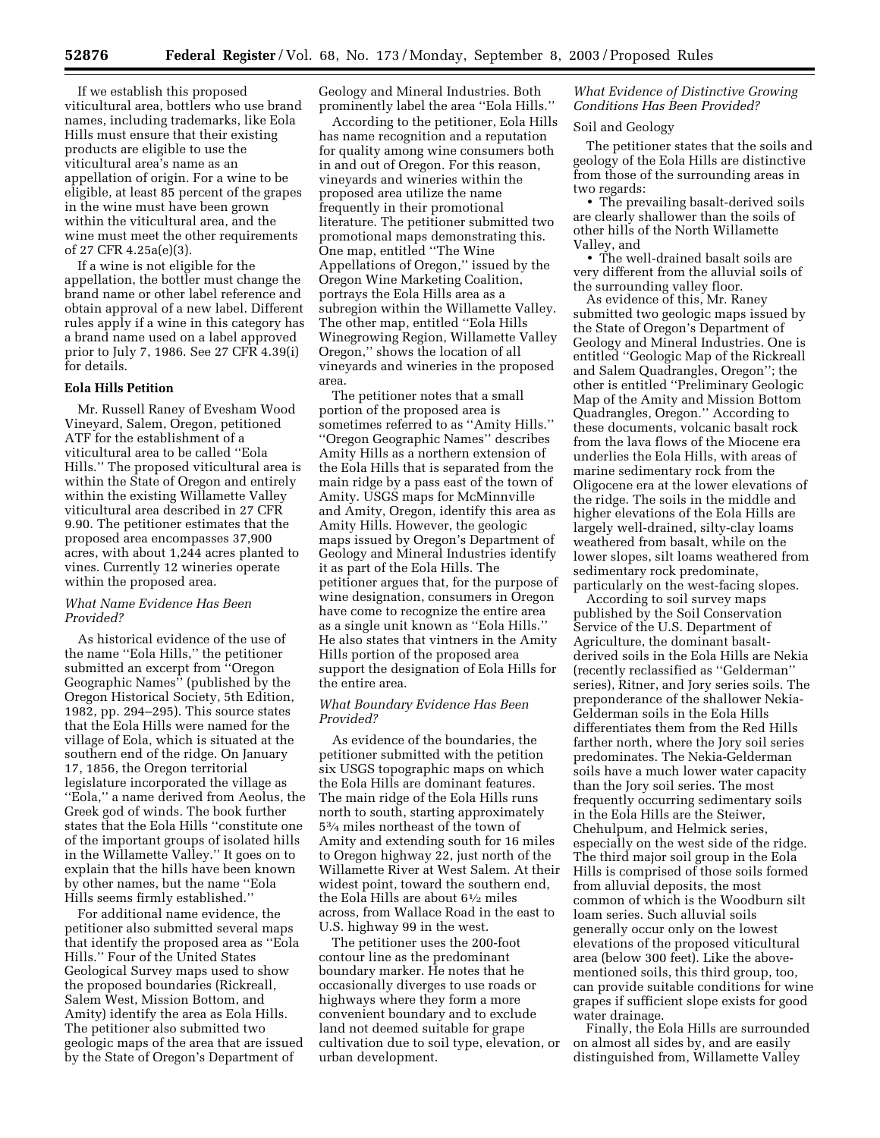If we establish this proposed viticultural area, bottlers who use brand names, including trademarks, like Eola Hills must ensure that their existing products are eligible to use the viticultural area's name as an appellation of origin. For a wine to be eligible, at least 85 percent of the grapes in the wine must have been grown within the viticultural area, and the wine must meet the other requirements of 27 CFR 4.25a(e)(3).

If a wine is not eligible for the appellation, the bottler must change the brand name or other label reference and obtain approval of a new label. Different rules apply if a wine in this category has a brand name used on a label approved prior to July 7, 1986. See 27 CFR 4.39(i) for details.

## **Eola Hills Petition**

Mr. Russell Raney of Evesham Wood Vineyard, Salem, Oregon, petitioned ATF for the establishment of a viticultural area to be called ''Eola Hills.'' The proposed viticultural area is within the State of Oregon and entirely within the existing Willamette Valley viticultural area described in 27 CFR 9.90. The petitioner estimates that the proposed area encompasses 37,900 acres, with about 1,244 acres planted to vines. Currently 12 wineries operate within the proposed area.

## *What Name Evidence Has Been Provided?*

As historical evidence of the use of the name ''Eola Hills,'' the petitioner submitted an excerpt from ''Oregon Geographic Names'' (published by the Oregon Historical Society, 5th Edition, 1982, pp. 294–295). This source states that the Eola Hills were named for the village of Eola, which is situated at the southern end of the ridge. On January 17, 1856, the Oregon territorial legislature incorporated the village as ''Eola,'' a name derived from Aeolus, the Greek god of winds. The book further states that the Eola Hills ''constitute one of the important groups of isolated hills in the Willamette Valley.'' It goes on to explain that the hills have been known by other names, but the name ''Eola Hills seems firmly established.''

For additional name evidence, the petitioner also submitted several maps that identify the proposed area as ''Eola Hills.'' Four of the United States Geological Survey maps used to show the proposed boundaries (Rickreall, Salem West, Mission Bottom, and Amity) identify the area as Eola Hills. The petitioner also submitted two geologic maps of the area that are issued by the State of Oregon's Department of

Geology and Mineral Industries. Both prominently label the area ''Eola Hills.''

According to the petitioner, Eola Hills has name recognition and a reputation for quality among wine consumers both in and out of Oregon. For this reason, vineyards and wineries within the proposed area utilize the name frequently in their promotional literature. The petitioner submitted two promotional maps demonstrating this. One map, entitled ''The Wine Appellations of Oregon,'' issued by the Oregon Wine Marketing Coalition, portrays the Eola Hills area as a subregion within the Willamette Valley. The other map, entitled ''Eola Hills Winegrowing Region, Willamette Valley Oregon,'' shows the location of all vineyards and wineries in the proposed area.

The petitioner notes that a small portion of the proposed area is sometimes referred to as ''Amity Hills.'' ''Oregon Geographic Names'' describes Amity Hills as a northern extension of the Eola Hills that is separated from the main ridge by a pass east of the town of Amity. USGS maps for McMinnville and Amity, Oregon, identify this area as Amity Hills. However, the geologic maps issued by Oregon's Department of Geology and Mineral Industries identify it as part of the Eola Hills. The petitioner argues that, for the purpose of wine designation, consumers in Oregon have come to recognize the entire area as a single unit known as ''Eola Hills.'' He also states that vintners in the Amity Hills portion of the proposed area support the designation of Eola Hills for the entire area.

### *What Boundary Evidence Has Been Provided?*

As evidence of the boundaries, the petitioner submitted with the petition six USGS topographic maps on which the Eola Hills are dominant features. The main ridge of the Eola Hills runs north to south, starting approximately 53⁄4 miles northeast of the town of Amity and extending south for 16 miles to Oregon highway 22, just north of the Willamette River at West Salem. At their widest point, toward the southern end, the Eola Hills are about 61⁄2 miles across, from Wallace Road in the east to U.S. highway 99 in the west.

The petitioner uses the 200-foot contour line as the predominant boundary marker. He notes that he occasionally diverges to use roads or highways where they form a more convenient boundary and to exclude land not deemed suitable for grape cultivation due to soil type, elevation, or urban development.

# *What Evidence of Distinctive Growing Conditions Has Been Provided?*

## Soil and Geology

The petitioner states that the soils and geology of the Eola Hills are distinctive from those of the surrounding areas in two regards:

• The prevailing basalt-derived soils are clearly shallower than the soils of other hills of the North Willamette Valley, and

• The well-drained basalt soils are very different from the alluvial soils of the surrounding valley floor.

As evidence of this, Mr. Raney submitted two geologic maps issued by the State of Oregon's Department of Geology and Mineral Industries. One is entitled ''Geologic Map of the Rickreall and Salem Quadrangles, Oregon''; the other is entitled ''Preliminary Geologic Map of the Amity and Mission Bottom Quadrangles, Oregon.'' According to these documents, volcanic basalt rock from the lava flows of the Miocene era underlies the Eola Hills, with areas of marine sedimentary rock from the Oligocene era at the lower elevations of the ridge. The soils in the middle and higher elevations of the Eola Hills are largely well-drained, silty-clay loams weathered from basalt, while on the lower slopes, silt loams weathered from sedimentary rock predominate, particularly on the west-facing slopes.

According to soil survey maps published by the Soil Conservation Service of the U.S. Department of Agriculture, the dominant basaltderived soils in the Eola Hills are Nekia (recently reclassified as ''Gelderman'' series), Ritner, and Jory series soils. The preponderance of the shallower Nekia-Gelderman soils in the Eola Hills differentiates them from the Red Hills farther north, where the Jory soil series predominates. The Nekia-Gelderman soils have a much lower water capacity than the Jory soil series. The most frequently occurring sedimentary soils in the Eola Hills are the Steiwer, Chehulpum, and Helmick series, especially on the west side of the ridge. The third major soil group in the Eola Hills is comprised of those soils formed from alluvial deposits, the most common of which is the Woodburn silt loam series. Such alluvial soils generally occur only on the lowest elevations of the proposed viticultural area (below 300 feet). Like the abovementioned soils, this third group, too, can provide suitable conditions for wine grapes if sufficient slope exists for good water drainage.

Finally, the Eola Hills are surrounded on almost all sides by, and are easily distinguished from, Willamette Valley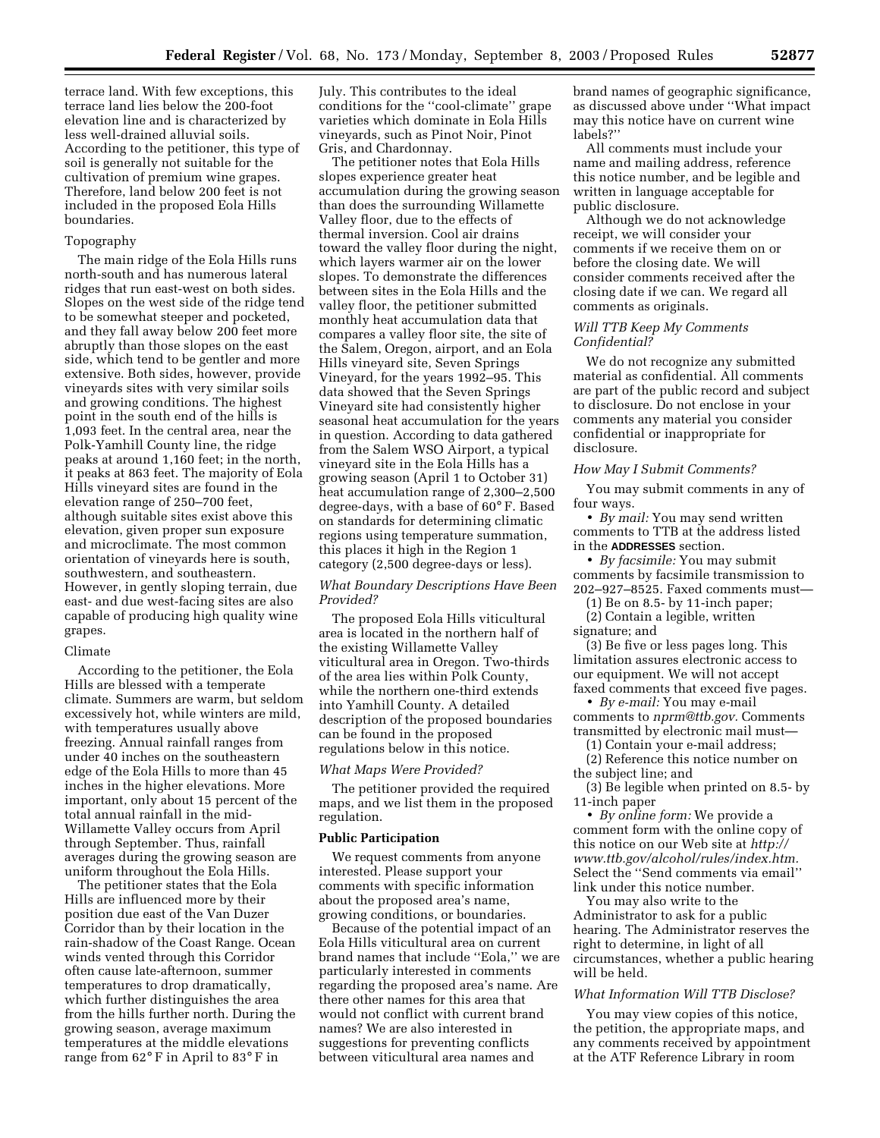terrace land. With few exceptions, this terrace land lies below the 200-foot elevation line and is characterized by less well-drained alluvial soils. According to the petitioner, this type of soil is generally not suitable for the cultivation of premium wine grapes. Therefore, land below 200 feet is not included in the proposed Eola Hills boundaries.

#### Topography

The main ridge of the Eola Hills runs north-south and has numerous lateral ridges that run east-west on both sides. Slopes on the west side of the ridge tend to be somewhat steeper and pocketed, and they fall away below 200 feet more abruptly than those slopes on the east side, which tend to be gentler and more extensive. Both sides, however, provide vineyards sites with very similar soils and growing conditions. The highest point in the south end of the hills is 1,093 feet. In the central area, near the Polk-Yamhill County line, the ridge peaks at around 1,160 feet; in the north, it peaks at 863 feet. The majority of Eola Hills vineyard sites are found in the elevation range of 250–700 feet, although suitable sites exist above this elevation, given proper sun exposure and microclimate. The most common orientation of vineyards here is south, southwestern, and southeastern. However, in gently sloping terrain, due east- and due west-facing sites are also capable of producing high quality wine grapes.

#### Climate

According to the petitioner, the Eola Hills are blessed with a temperate climate. Summers are warm, but seldom excessively hot, while winters are mild, with temperatures usually above freezing. Annual rainfall ranges from under 40 inches on the southeastern edge of the Eola Hills to more than 45 inches in the higher elevations. More important, only about 15 percent of the total annual rainfall in the mid-Willamette Valley occurs from April through September. Thus, rainfall averages during the growing season are uniform throughout the Eola Hills.

The petitioner states that the Eola Hills are influenced more by their position due east of the Van Duzer Corridor than by their location in the rain-shadow of the Coast Range. Ocean winds vented through this Corridor often cause late-afternoon, summer temperatures to drop dramatically, which further distinguishes the area from the hills further north. During the growing season, average maximum temperatures at the middle elevations range from 62° F in April to 83° F in

July. This contributes to the ideal conditions for the ''cool-climate'' grape varieties which dominate in Eola Hills vineyards, such as Pinot Noir, Pinot Gris, and Chardonnay.

The petitioner notes that Eola Hills slopes experience greater heat accumulation during the growing season than does the surrounding Willamette Valley floor, due to the effects of thermal inversion. Cool air drains toward the valley floor during the night, which layers warmer air on the lower slopes. To demonstrate the differences between sites in the Eola Hills and the valley floor, the petitioner submitted monthly heat accumulation data that compares a valley floor site, the site of the Salem, Oregon, airport, and an Eola Hills vineyard site, Seven Springs Vineyard, for the years 1992–95. This data showed that the Seven Springs Vineyard site had consistently higher seasonal heat accumulation for the years in question. According to data gathered from the Salem WSO Airport, a typical vineyard site in the Eola Hills has a growing season (April 1 to October 31) heat accumulation range of 2,300–2,500 degree-days, with a base of 60° F. Based on standards for determining climatic regions using temperature summation, this places it high in the Region 1 category (2,500 degree-days or less).

## *What Boundary Descriptions Have Been Provided?*

The proposed Eola Hills viticultural area is located in the northern half of the existing Willamette Valley viticultural area in Oregon. Two-thirds of the area lies within Polk County, while the northern one-third extends into Yamhill County. A detailed description of the proposed boundaries can be found in the proposed regulations below in this notice.

### *What Maps Were Provided?*

The petitioner provided the required maps, and we list them in the proposed regulation.

## **Public Participation**

We request comments from anyone interested. Please support your comments with specific information about the proposed area's name, growing conditions, or boundaries.

Because of the potential impact of an Eola Hills viticultural area on current brand names that include ''Eola,'' we are particularly interested in comments regarding the proposed area's name. Are there other names for this area that would not conflict with current brand names? We are also interested in suggestions for preventing conflicts between viticultural area names and

brand names of geographic significance, as discussed above under ''What impact may this notice have on current wine labels?''

All comments must include your name and mailing address, reference this notice number, and be legible and written in language acceptable for public disclosure.

Although we do not acknowledge receipt, we will consider your comments if we receive them on or before the closing date. We will consider comments received after the closing date if we can. We regard all comments as originals.

### *Will TTB Keep My Comments Confidential?*

We do not recognize any submitted material as confidential. All comments are part of the public record and subject to disclosure. Do not enclose in your comments any material you consider confidential or inappropriate for disclosure.

### *How May I Submit Comments?*

You may submit comments in any of four ways.

• *By mail:* You may send written comments to TTB at the address listed in the **ADDRESSES** section.

• *By facsimile:* You may submit comments by facsimile transmission to 202–927–8525. Faxed comments must—

(1) Be on 8.5- by 11-inch paper; (2) Contain a legible, written

signature; and

(3) Be five or less pages long. This limitation assures electronic access to our equipment. We will not accept faxed comments that exceed five pages.

• *By e-mail:* You may e-mail comments to *[nprm@ttb.gov.](mailto:nprm@ttb.gov)* Comments transmitted by electronic mail must—

(1) Contain your e-mail address;

(2) Reference this notice number on the subject line; and

(3) Be legible when printed on 8.5- by 11-inch paper

• *By online form:* We provide a comment form with the online copy of this notice on our Web site at *http:// [www.ttb.gov/alcohol/rules/index.htm.](http://www.ttb.gov/alcohol/rules/index.htm)* Select the ''Send comments via email'' link under this notice number.

You may also write to the Administrator to ask for a public hearing. The Administrator reserves the right to determine, in light of all circumstances, whether a public hearing will be held.

## *What Information Will TTB Disclose?*

You may view copies of this notice, the petition, the appropriate maps, and any comments received by appointment at the ATF Reference Library in room